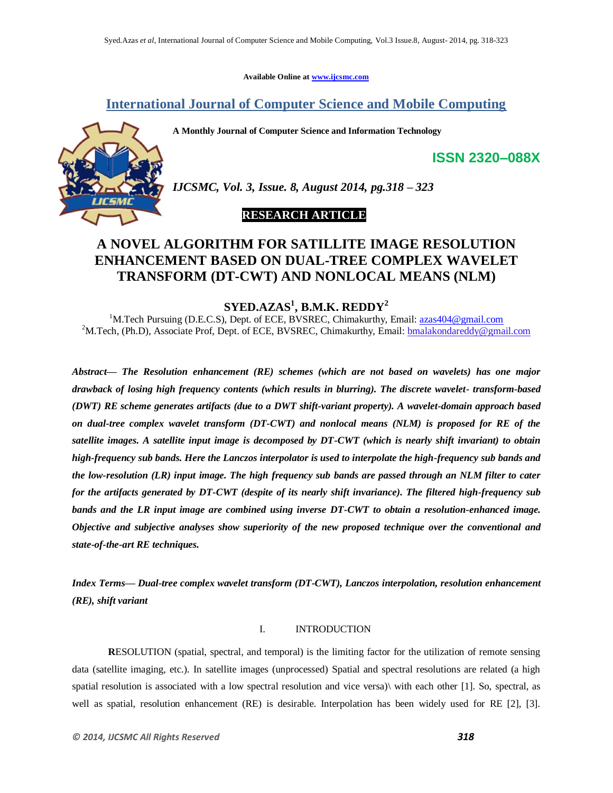**Available Online at www.ijcsmc.com**

**International Journal of Computer Science and Mobile Computing**

**A Monthly Journal of Computer Science and Information Technology**



*IJCSMC, Vol. 3, Issue. 8, August 2014, pg.318 – 323*

# **RESEARCH ARTICLE**

# **A NOVEL ALGORITHM FOR SATILLITE IMAGE RESOLUTION ENHANCEMENT BASED ON DUAL-TREE COMPLEX WAVELET TRANSFORM (DT-CWT) AND NONLOCAL MEANS (NLM)**

**SYED.AZAS<sup>1</sup> , B.M.K. REDDY<sup>2</sup>**

<sup>1</sup>M.Tech Pursuing (D.E.C.S), Dept. of ECE, BVSREC, Chimakurthy, Email: azas404@gmail.com <sup>2</sup>M.Tech, (Ph.D), Associate Prof, Dept. of ECE, BVSREC, Chimakurthy, Email: **bmalakondareddy@gmail.com** 

*Abstract— The Resolution enhancement (RE) schemes (which are not based on wavelets) has one major drawback of losing high frequency contents (which results in blurring). The discrete wavelet- transform-based (DWT) RE scheme generates artifacts (due to a DWT shift-variant property). A wavelet-domain approach based on dual-tree complex wavelet transform (DT-CWT) and nonlocal means (NLM) is proposed for RE of the satellite images. A satellite input image is decomposed by DT-CWT (which is nearly shift invariant) to obtain high-frequency sub bands. Here the Lanczos interpolator is used to interpolate the high-frequency sub bands and the low-resolution (LR) input image. The high frequency sub bands are passed through an NLM filter to cater for the artifacts generated by DT-CWT (despite of its nearly shift invariance). The filtered high-frequency sub bands and the LR input image are combined using inverse DT-CWT to obtain a resolution-enhanced image. Objective and subjective analyses show superiority of the new proposed technique over the conventional and state-of-the-art RE techniques.*

*Index Terms— Dual-tree complex wavelet transform (DT-CWT), Lanczos interpolation, resolution enhancement (RE), shift variant*

### I. INTRODUCTION

**R**ESOLUTION (spatial, spectral, and temporal) is the limiting factor for the utilization of remote sensing data (satellite imaging, etc.). In satellite images (unprocessed) Spatial and spectral resolutions are related (a high spatial resolution is associated with a low spectral resolution and vice versa)\ with each other [1]. So, spectral, as well as spatial, resolution enhancement (RE) is desirable. Interpolation has been widely used for RE [2], [3].

**ISSN 2320–088X**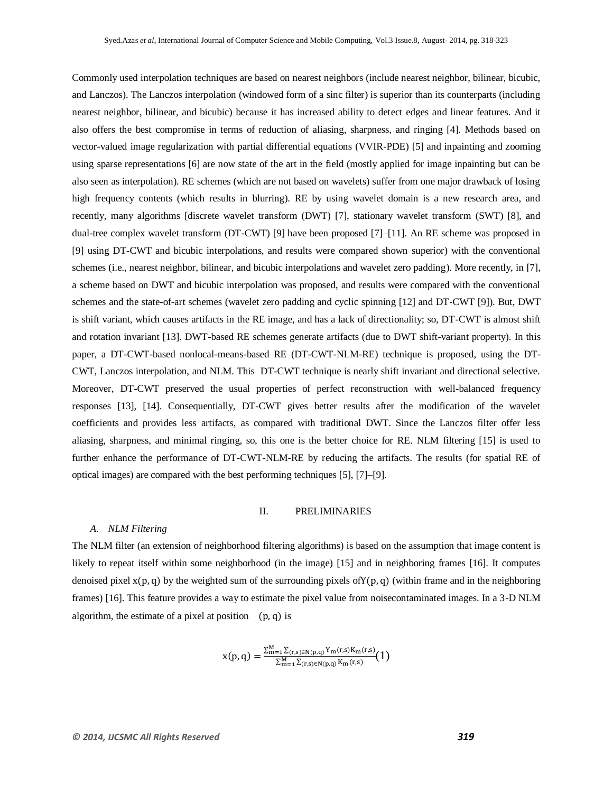Commonly used interpolation techniques are based on nearest neighbors (include nearest neighbor, bilinear, bicubic, and Lanczos). The Lanczos interpolation (windowed form of a sinc filter) is superior than its counterparts (including nearest neighbor, bilinear, and bicubic) because it has increased ability to detect edges and linear features. And it also offers the best compromise in terms of reduction of aliasing, sharpness, and ringing [4]. Methods based on vector-valued image regularization with partial differential equations (VVIR-PDE) [5] and inpainting and zooming using sparse representations [6] are now state of the art in the field (mostly applied for image inpainting but can be also seen as interpolation). RE schemes (which are not based on wavelets) suffer from one major drawback of losing high frequency contents (which results in blurring). RE by using wavelet domain is a new research area, and recently, many algorithms [discrete wavelet transform (DWT) [7], stationary wavelet transform (SWT) [8], and dual-tree complex wavelet transform (DT-CWT) [9] have been proposed [7]–[11]. An RE scheme was proposed in [9] using DT-CWT and bicubic interpolations, and results were compared shown superior) with the conventional schemes (i.e., nearest neighbor, bilinear, and bicubic interpolations and wavelet zero padding). More recently, in [7], a scheme based on DWT and bicubic interpolation was proposed, and results were compared with the conventional schemes and the state-of-art schemes (wavelet zero padding and cyclic spinning [12] and DT-CWT [9]). But, DWT is shift variant, which causes artifacts in the RE image, and has a lack of directionality; so, DT-CWT is almost shift and rotation invariant [13]. DWT-based RE schemes generate artifacts (due to DWT shift-variant property). In this paper, a DT-CWT-based nonlocal-means-based RE (DT-CWT-NLM-RE) technique is proposed, using the DT-CWT, Lanczos interpolation, and NLM. This DT-CWT technique is nearly shift invariant and directional selective. Moreover, DT-CWT preserved the usual properties of perfect reconstruction with well-balanced frequency responses [13], [14]. Consequentially, DT-CWT gives better results after the modification of the wavelet coefficients and provides less artifacts, as compared with traditional DWT. Since the Lanczos filter offer less aliasing, sharpness, and minimal ringing, so, this one is the better choice for RE. NLM filtering [15] is used to further enhance the performance of DT-CWT-NLM-RE by reducing the artifacts. The results (for spatial RE of optical images) are compared with the best performing techniques [5], [7]–[9].

# II. PRELIMINARIES

#### *A. NLM Filtering*

The NLM filter (an extension of neighborhood filtering algorithms) is based on the assumption that image content is likely to repeat itself within some neighborhood (in the image) [15] and in neighboring frames [16]. It computes denoised pixel  $x(p, q)$  by the weighted sum of the surrounding pixels of  $Y(p, q)$  (within frame and in the neighboring frames) [16]. This feature provides a way to estimate the pixel value from noisecontaminated images. In a 3-D NLM algorithm, the estimate of a pixel at position  $(p, q)$  is

$$
x(p,q) = \frac{\sum_{m=1}^{M} \sum_{(r,s) \in N(p,q)} Y_m(r,s) K_m(r,s)}{\sum_{m=1}^{M} \sum_{(r,s) \in N(p,q)} K_m(r,s)} (1)
$$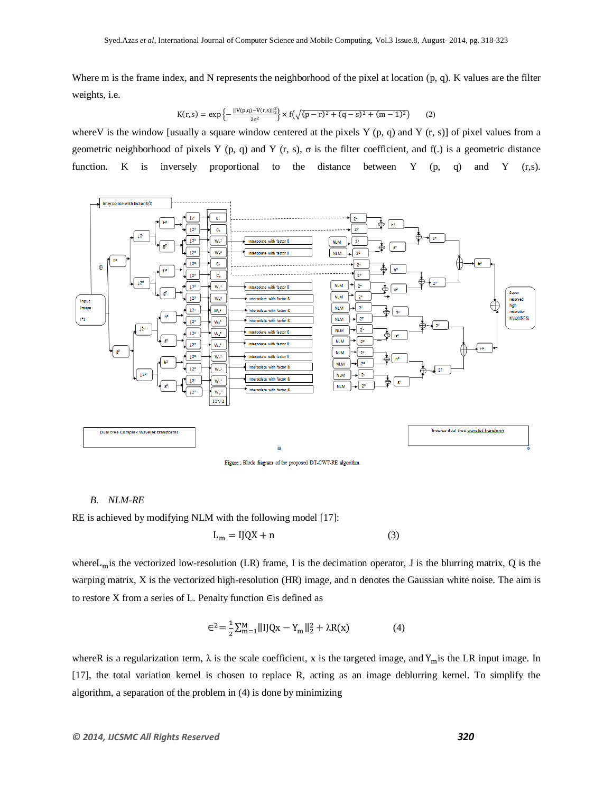Where m is the frame index, and N represents the neighborhood of the pixel at location (p, q). K values are the filter weights, i.e.

$$
K(r,s) = \exp\left\{-\frac{\|V(p,q)-V(r,s)\|_2^2}{2\sigma^2}\right\} \times f\left(\sqrt{(p-r)^2 + (q-s)^2 + (m-1)^2}\right) \tag{2}
$$

where V is the window [usually a square window centered at the pixels Y (p, q) and Y (r, s)] of pixel values from a geometric neighborhood of pixels Y (p, q) and Y (r, s),  $\sigma$  is the filter coefficient, and f(.) is a geometric distance function. K is inversely proportional to the distance between Y (p, q) and Y (r,s).



# *B. NLM-RE*

RE is achieved by modifying NLM with the following model [17]:

$$
L_m = IJQX + n \tag{3}
$$

where  $L_m$  is the vectorized low-resolution (LR) frame, I is the decimation operator, J is the blurring matrix, Q is the warping matrix, X is the vectorized high-resolution (HR) image, and n denotes the Gaussian white noise. The aim is to restore X from a series of L. Penalty function  $\epsilon$  is defined as

$$
\epsilon^{2} = \frac{1}{2} \sum_{m=1}^{M} ||IJQx - Y_{m}||_{2}^{2} + \lambda R(x)
$$
 (4)

whereR is a regularization term,  $\lambda$  is the scale coefficient, x is the targeted image, and  $Y_m$  is the LR input image. In [17], the total variation kernel is chosen to replace R, acting as an image deblurring kernel. To simplify the algorithm, a separation of the problem in (4) is done by minimizing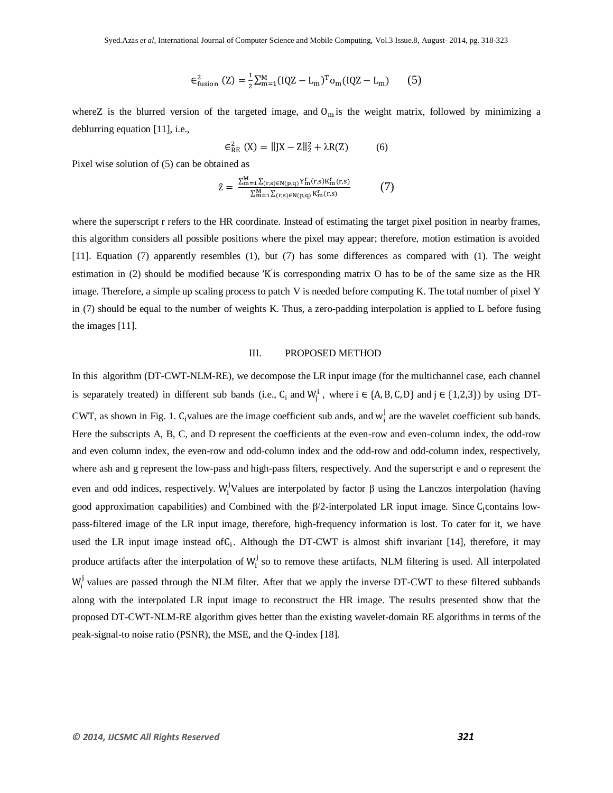$$
\epsilon_{\text{fusion}}^2 (Z) = \frac{1}{2} \sum_{m=1}^{M} (IQZ - L_m)^T o_m (IQZ - L_m)
$$
 (5)

whereZ is the blurred version of the targeted image, and  $O_m$  is the weight matrix, followed by minimizing a deblurring equation [11], i.e.,

$$
\epsilon_{RE}^{2}(X) = ||JX - Z||_{2}^{2} + \lambda R(Z)
$$
 (6)

Pixel wise solution of (5) can be obtained as

$$
\hat{z} = \frac{\sum_{m=1}^{M} \sum_{(r,s) \in N(p,q)} Y_m^r(r,s) K_m^r(r,s)}{\sum_{m=1}^{M} \sum_{(r,s) \in N(p,q)} K_m^r(r,s)}
$$
(7)

where the superscript r refers to the HR coordinate. Instead of estimating the target pixel position in nearby frames, this algorithm considers all possible positions where the pixel may appear; therefore, motion estimation is avoided [11]. Equation (7) apparently resembles (1), but (7) has some differences as compared with (1). The weight estimation in (2) should be modified because 'K' is corresponding matrix O has to be of the same size as the HR image. Therefore, a simple up scaling process to patch V is needed before computing K. The total number of pixel Y in (7) should be equal to the number of weights K. Thus, a zero-padding interpolation is applied to L before fusing the images [11].

#### III. PROPOSED METHOD

In this algorithm (DT-CWT-NLM-RE), we decompose the LR input image (for the multichannel case, each channel is separately treated) in different sub bands (i.e., C<sub>i</sub> and W<sub>i</sub><sup>1</sup>, where  $i \in \{A, B, C, D\}$  and  $j \in \{1, 2, 3\}$ ) by using DT-CWT, as shown in Fig. 1.  $C_i$  values are the image coefficient sub ands, and  $w_i^j$  are the wavelet coefficient sub bands. Here the subscripts A, B, C, and D represent the coefficients at the even-row and even-column index, the odd-row and even column index, the even-row and odd-column index and the odd-row and odd-column index, respectively, where ash and g represent the low-pass and high-pass filters, respectively. And the superscript e and o represent the even and odd indices, respectively. W<sub>i</sub>Values are interpolated by factor  $\beta$  using the Lanczos interpolation (having good approximation capabilities) and Combined with the  $\beta/2$ -interpolated LR input image. Since C<sub>i</sub>contains lowpass-filtered image of the LR input image, therefore, high-frequency information is lost. To cater for it, we have used the LR input image instead of  $C_i$ . Although the DT-CWT is almost shift invariant [14], therefore, it may produce artifacts after the interpolation of  $W_i^j$  so to remove these artifacts, NLM filtering is used. All interpolated  $W_i^j$  values are passed through the NLM filter. After that we apply the inverse DT-CWT to these filtered subbands along with the interpolated LR input image to reconstruct the HR image. The results presented show that the proposed DT-CWT-NLM-RE algorithm gives better than the existing wavelet-domain RE algorithms in terms of the peak-signal-to noise ratio (PSNR), the MSE, and the Q-index [18].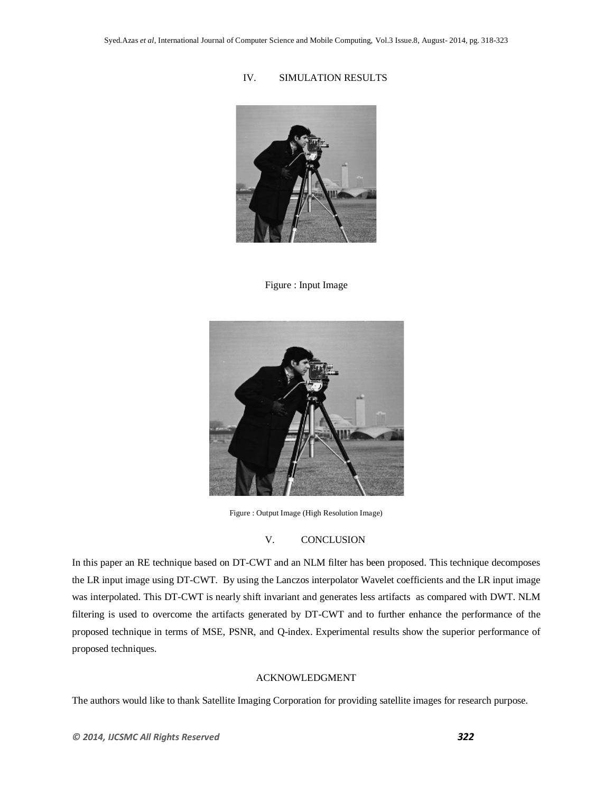# IV. SIMULATION RESULTS



Figure : Input Image



Figure : Output Image (High Resolution Image)

# V. CONCLUSION

In this paper an RE technique based on DT-CWT and an NLM filter has been proposed. This technique decomposes the LR input image using DT-CWT. By using the Lanczos interpolator Wavelet coefficients and the LR input image was interpolated. This DT-CWT is nearly shift invariant and generates less artifacts as compared with DWT. NLM filtering is used to overcome the artifacts generated by DT-CWT and to further enhance the performance of the proposed technique in terms of MSE, PSNR, and Q-index. Experimental results show the superior performance of proposed techniques.

# ACKNOWLEDGMENT

The authors would like to thank Satellite Imaging Corporation for providing satellite images for research purpose.